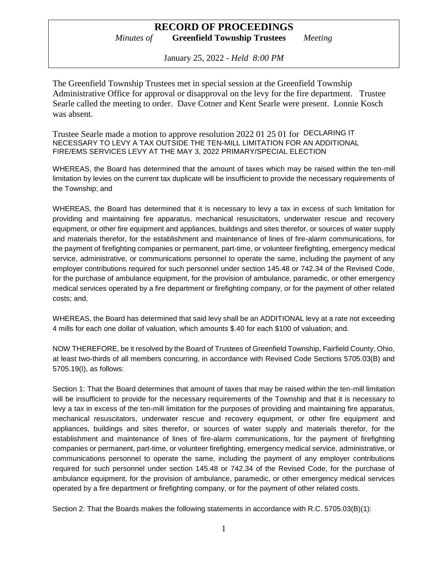## **RECORD OF PROCEEDINGS** *Minutes of* **Greenfield Township Trustees** *Meeting*

January 25, 2022 - *Held 8:00 PM*

The Greenfield Township Trustees met in special session at the Greenfield Township Administrative Office for approval or disapproval on the levy for the fire department. Trustee Searle called the meeting to order. Dave Cotner and Kent Searle were present. Lonnie Kosch was absent.

Trustee Searle made a motion to approve resolution 2022 01 25 01 for DECLARING IT NECESSARY TO LEVY A TAX OUTSIDE THE TEN-MILL LIMITATION FOR AN ADDITIONAL FIRE/EMS SERVICES LEVY AT THE MAY 3, 2022 PRIMARY/SPECIAL ELECTION

WHEREAS, the Board has determined that the amount of taxes which may be raised within the ten-mill limitation by levies on the current tax duplicate will be insufficient to provide the necessary requirements of the Township; and

WHEREAS, the Board has determined that it is necessary to levy a tax in excess of such limitation for providing and maintaining fire apparatus, mechanical resuscitators, underwater rescue and recovery equipment, or other fire equipment and appliances, buildings and sites therefor, or sources of water supply and materials therefor, for the establishment and maintenance of lines of fire-alarm communications, for the payment of firefighting companies or permanent, part-time, or volunteer firefighting, emergency medical service, administrative, or communications personnel to operate the same, including the payment of any employer contributions required for such personnel under section 145.48 or 742.34 of the Revised Code, for the purchase of ambulance equipment, for the provision of ambulance, paramedic, or other emergency medical services operated by a fire department or firefighting company, or for the payment of other related costs; and,

WHEREAS, the Board has determined that said levy shall be an ADDITIONAL levy at a rate not exceeding 4 mills for each one dollar of valuation, which amounts \$.40 for each \$100 of valuation; and.

NOW THEREFORE, be it resolved by the Board of Trustees of Greenfield Township, Fairfield County, Ohio, at least two-thirds of all members concurring, in accordance with Revised Code Sections 5705.03(B) and 5705.19(I), as follows:

Section 1: That the Board determines that amount of taxes that may be raised within the ten-mill limitation will be insufficient to provide for the necessary requirements of the Township and that it is necessary to levy a tax in excess of the ten-mill limitation for the purposes of providing and maintaining fire apparatus, mechanical resuscitators, underwater rescue and recovery equipment, or other fire equipment and appliances, buildings and sites therefor, or sources of water supply and materials therefor, for the establishment and maintenance of lines of fire-alarm communications, for the payment of firefighting companies or permanent, part-time, or volunteer firefighting, emergency medical service, administrative, or communications personnel to operate the same, including the payment of any employer contributions required for such personnel under section 145.48 or 742.34 of the Revised Code, for the purchase of ambulance equipment, for the provision of ambulance, paramedic, or other emergency medical services operated by a fire department or firefighting company, or for the payment of other related costs.

Section 2: That the Boards makes the following statements in accordance with R.C. 5705.03(B)(1):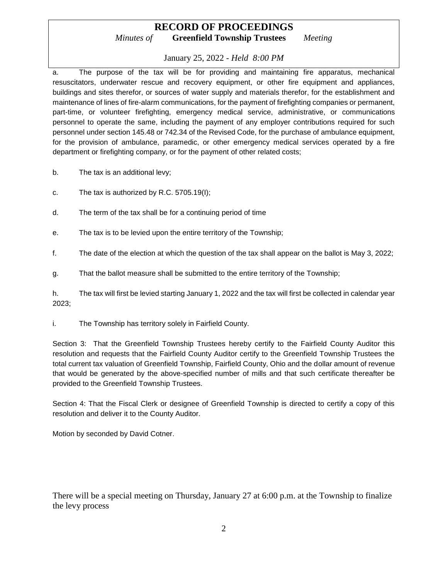## **RECORD OF PROCEEDINGS** *Minutes of* **Greenfield Township Trustees** *Meeting*

## January 25, 2022 - *Held 8:00 PM*

a. The purpose of the tax will be for providing and maintaining fire apparatus, mechanical resuscitators, underwater rescue and recovery equipment, or other fire equipment and appliances, buildings and sites therefor, or sources of water supply and materials therefor, for the establishment and maintenance of lines of fire-alarm communications, for the payment of firefighting companies or permanent, part-time, or volunteer firefighting, emergency medical service, administrative, or communications personnel to operate the same, including the payment of any employer contributions required for such personnel under section 145.48 or 742.34 of the Revised Code, for the purchase of ambulance equipment, for the provision of ambulance, paramedic, or other emergency medical services operated by a fire department or firefighting company, or for the payment of other related costs;

- b. The tax is an additional levy;
- c. The tax is authorized by R.C. 5705.19(I);
- d. The term of the tax shall be for a continuing period of time
- e. The tax is to be levied upon the entire territory of the Township;
- f. The date of the election at which the question of the tax shall appear on the ballot is May 3, 2022;
- g. That the ballot measure shall be submitted to the entire territory of the Township;

h. The tax will first be levied starting January 1, 2022 and the tax will first be collected in calendar year 2023;

i. The Township has territory solely in Fairfield County.

Section 3: That the Greenfield Township Trustees hereby certify to the Fairfield County Auditor this resolution and requests that the Fairfield County Auditor certify to the Greenfield Township Trustees the total current tax valuation of Greenfield Township, Fairfield County, Ohio and the dollar amount of revenue that would be generated by the above-specified number of mills and that such certificate thereafter be provided to the Greenfield Township Trustees.

Section 4: That the Fiscal Clerk or designee of Greenfield Township is directed to certify a copy of this resolution and deliver it to the County Auditor.

Motion by seconded by David Cotner.

There will be a special meeting on Thursday, January 27 at 6:00 p.m. at the Township to finalize the levy process